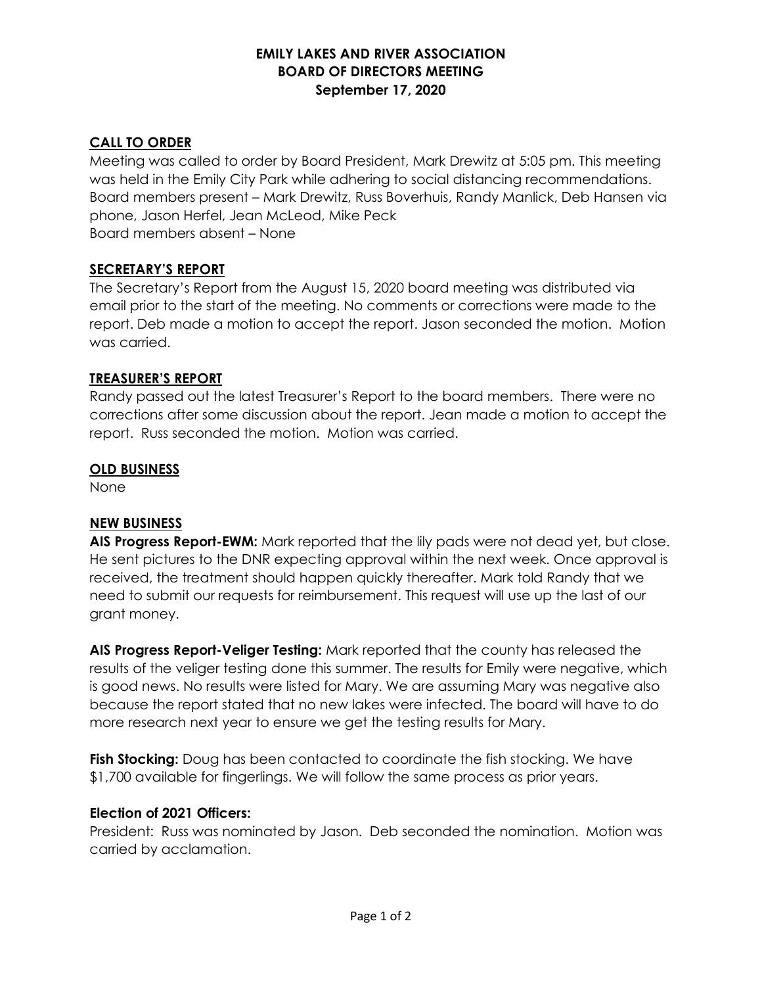## **EMILY LAKES AND RIVER ASSOCIATION BOARD OF DIRECTORS MEETING September 17, 2020**

# **CALL TO ORDER**

Meeting was called to order by Board President, Mark Drewitz at 5:05 pm. This meeting was held in the Emily City Park while adhering to social distancing recommendations. Board members present – Mark Drewitz, Russ Boverhuis, Randy Manlick, Deb Hansen via phone, Jason Herfel, Jean McLeod, Mike Peck Board members absent – None

### **SECRETARY'S REPORT**

The Secretary's Report from the August 15, 2020 board meeting was distributed via email prior to the start of the meeting. No comments or corrections were made to the report. Deb made a motion to accept the report. Jason seconded the motion. Motion was carried.

### **TREASURER'S REPORT**

Randy passed out the latest Treasurer's Report to the board members. There were no corrections after some discussion about the report. Jean made a motion to accept the report. Russ seconded the motion. Motion was carried.

### **OLD BUSINESS**

None

### **NEW BUSINESS**

**AIS Progress Report-EWM:** Mark reported that the lily pads were not dead yet, but close. He sent pictures to the DNR expecting approval within the next week. Once approval is received, the treatment should happen quickly thereafter. Mark told Randy that we need to submit our requests for reimbursement. This request will use up the last of our grant money.

**AIS Progress Report-Veliger Testing:** Mark reported that the county has released the results of the veliger testing done this summer. The results for Emily were negative, which is good news. No results were listed for Mary. We are assuming Mary was negative also because the report stated that no new lakes were infected. The board will have to do more research next year to ensure we get the testing results for Mary.

**Fish Stocking:** Doug has been contacted to coordinate the fish stocking. We have \$1,700 available for fingerlings. We will follow the same process as prior years.

### **Election of 2021 Officers:**

President: Russ was nominated by Jason. Deb seconded the nomination. Motion was carried by acclamation.